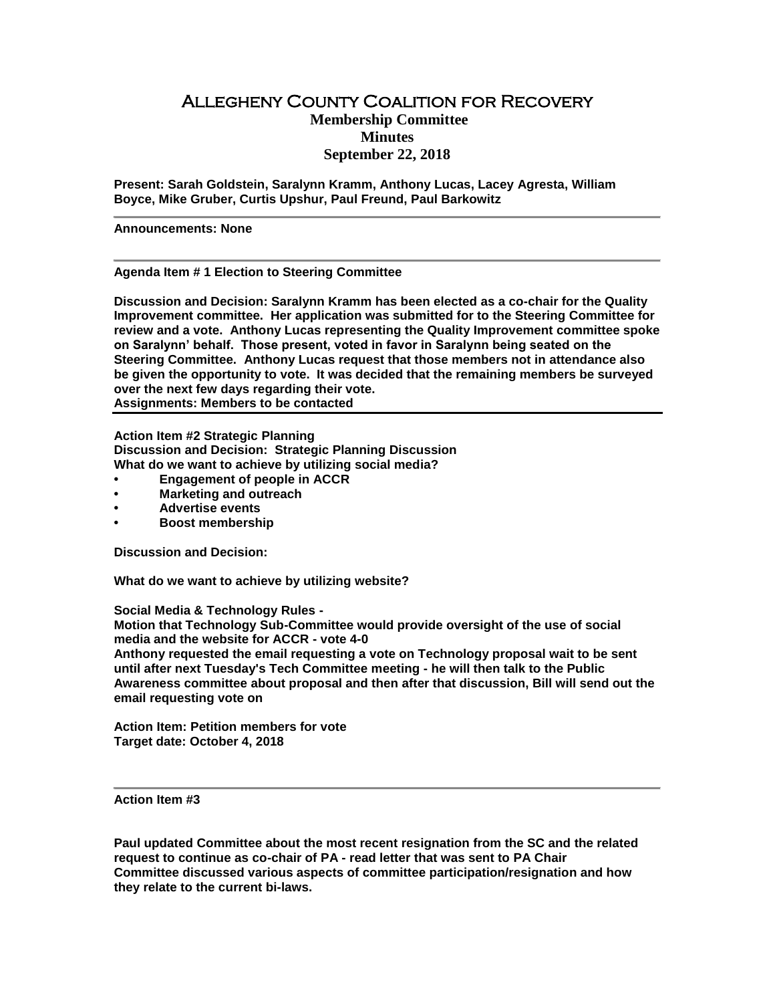## Allegheny County Coalition for Recovery **Membership Committee Minutes September 22, 2018**

**Present: Sarah Goldstein, Saralynn Kramm, Anthony Lucas, Lacey Agresta, William Boyce, Mike Gruber, Curtis Upshur, Paul Freund, Paul Barkowitz**

**Announcements: None**

**Agenda Item # 1 Election to Steering Committee**

**Discussion and Decision: Saralynn Kramm has been elected as a co-chair for the Quality Improvement committee. Her application was submitted for to the Steering Committee for review and a vote. Anthony Lucas representing the Quality Improvement committee spoke on Saralynn' behalf. Those present, voted in favor in Saralynn being seated on the Steering Committee. Anthony Lucas request that those members not in attendance also be given the opportunity to vote. It was decided that the remaining members be surveyed over the next few days regarding their vote. Assignments: Members to be contacted**

**Action Item #2 Strategic Planning Discussion and Decision: Strategic Planning Discussion What do we want to achieve by utilizing social media?**

- **• Engagement of people in ACCR**
- **• Marketing and outreach**
- **• Advertise events**
- **• Boost membership**

**Discussion and Decision:** 

**What do we want to achieve by utilizing website?**

**Social Media & Technology Rules -**

**Motion that Technology Sub-Committee would provide oversight of the use of social media and the website for ACCR - vote 4-0** 

**Anthony requested the email requesting a vote on Technology proposal wait to be sent until after next Tuesday's Tech Committee meeting - he will then talk to the Public Awareness committee about proposal and then after that discussion, Bill will send out the email requesting vote on**

**Action Item: Petition members for vote Target date: October 4, 2018**

**Action Item #3**

**Paul updated Committee about the most recent resignation from the SC and the related request to continue as co-chair of PA - read letter that was sent to PA Chair Committee discussed various aspects of committee participation/resignation and how they relate to the current bi-laws.**